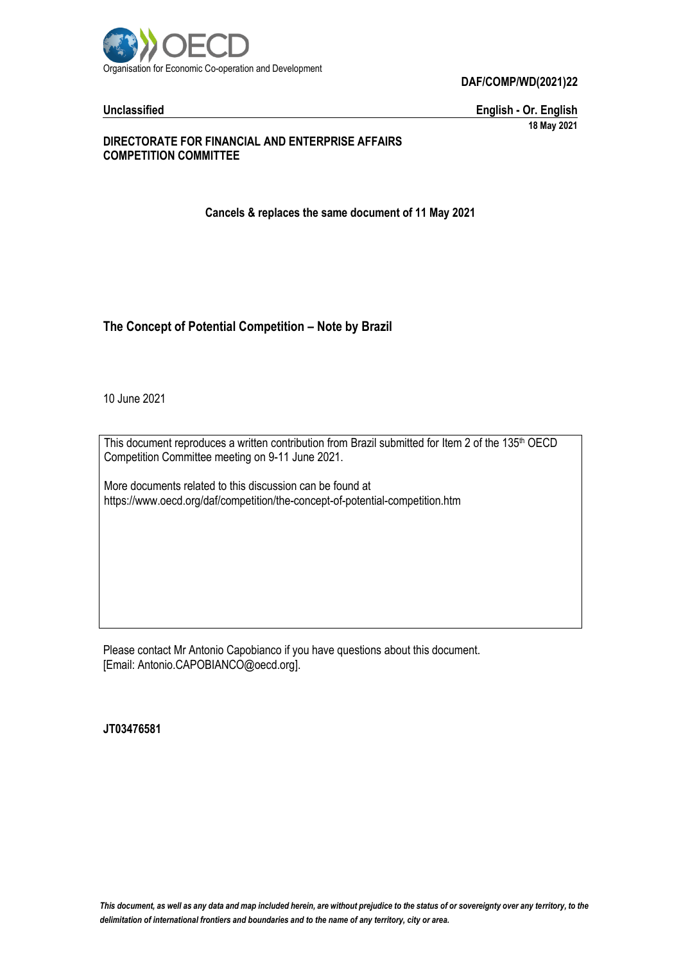

**DAF/COMP/WD(2021)22**

**Unclassified English - Or. English 18 May 2021**

## **DIRECTORATE FOR FINANCIAL AND ENTERPRISE AFFAIRS COMPETITION COMMITTEE**

**Cancels & replaces the same document of 11 May 2021**

## **The Concept of Potential Competition – Note by Brazil**

10 June 2021

This document reproduces a written contribution from Brazil submitted for Item 2 of the 135<sup>th</sup> OECD Competition Committee meeting on 9-11 June 2021.

More documents related to this discussion can be found at https://www.oecd.org/daf/competition/the-concept-of-potential-competition.htm

Please contact Mr Antonio Capobianco if you have questions about this document. [Email: Antonio.CAPOBIANCO@oecd.org].

**JT03476581**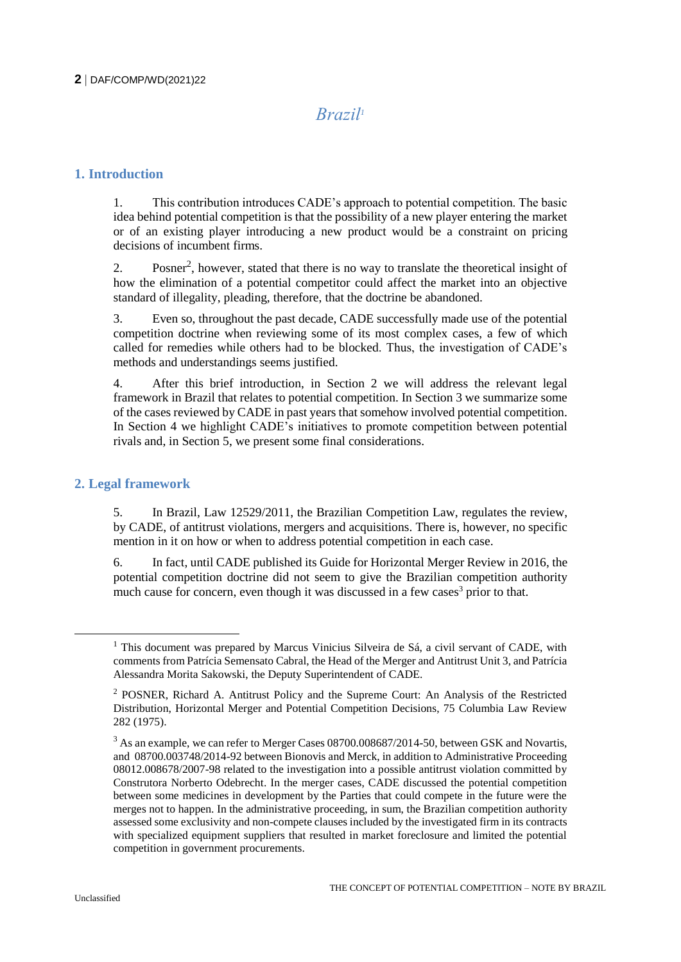# *Brazil<sup>1</sup>*

## **1. Introduction**

1. This contribution introduces CADE's approach to potential competition. The basic idea behind potential competition is that the possibility of a new player entering the market or of an existing player introducing a new product would be a constraint on pricing decisions of incumbent firms.

2. Posner<sup>2</sup>, however, stated that there is no way to translate the theoretical insight of how the elimination of a potential competitor could affect the market into an objective standard of illegality, pleading, therefore, that the doctrine be abandoned.

3. Even so, throughout the past decade, CADE successfully made use of the potential competition doctrine when reviewing some of its most complex cases, a few of which called for remedies while others had to be blocked. Thus, the investigation of CADE's methods and understandings seems justified.

4. After this brief introduction, in Section 2 we will address the relevant legal framework in Brazil that relates to potential competition. In Section 3 we summarize some of the cases reviewed by CADE in past years that somehow involved potential competition. In Section 4 we highlight CADE's initiatives to promote competition between potential rivals and, in Section 5, we present some final considerations.

## **2. Legal framework**

5. In Brazil, Law 12529/2011, the Brazilian Competition Law, regulates the review, by CADE, of antitrust violations, mergers and acquisitions. There is, however, no specific mention in it on how or when to address potential competition in each case.

6. In fact, until CADE published its Guide for Horizontal Merger Review in 2016, the potential competition doctrine did not seem to give the Brazilian competition authority much cause for concern, even though it was discussed in a few cases<sup>3</sup> prior to that.

<sup>&</sup>lt;sup>1</sup> This document was prepared by Marcus Vinicius Silveira de Sá, a civil servant of CADE, with comments from Patrícia Semensato Cabral, the Head of the Merger and Antitrust Unit 3, and Patrícia Alessandra Morita Sakowski, the Deputy Superintendent of CADE.

<sup>2</sup> POSNER, Richard A. Antitrust Policy and the Supreme Court: An Analysis of the Restricted Distribution, Horizontal Merger and Potential Competition Decisions, 75 Columbia Law Review 282 (1975).

 $3$  As an example, we can refer to Merger Cases 08700.008687/2014-50, between GSK and Novartis, and 08700.003748/2014-92 between Bionovis and Merck, in addition to Administrative Proceeding 08012.008678/2007-98 related to the investigation into a possible antitrust violation committed by Construtora Norberto Odebrecht. In the merger cases, CADE discussed the potential competition between some medicines in development by the Parties that could compete in the future were the merges not to happen. In the administrative proceeding, in sum, the Brazilian competition authority assessed some exclusivity and non-compete clauses included by the investigated firm in its contracts with specialized equipment suppliers that resulted in market foreclosure and limited the potential competition in government procurements.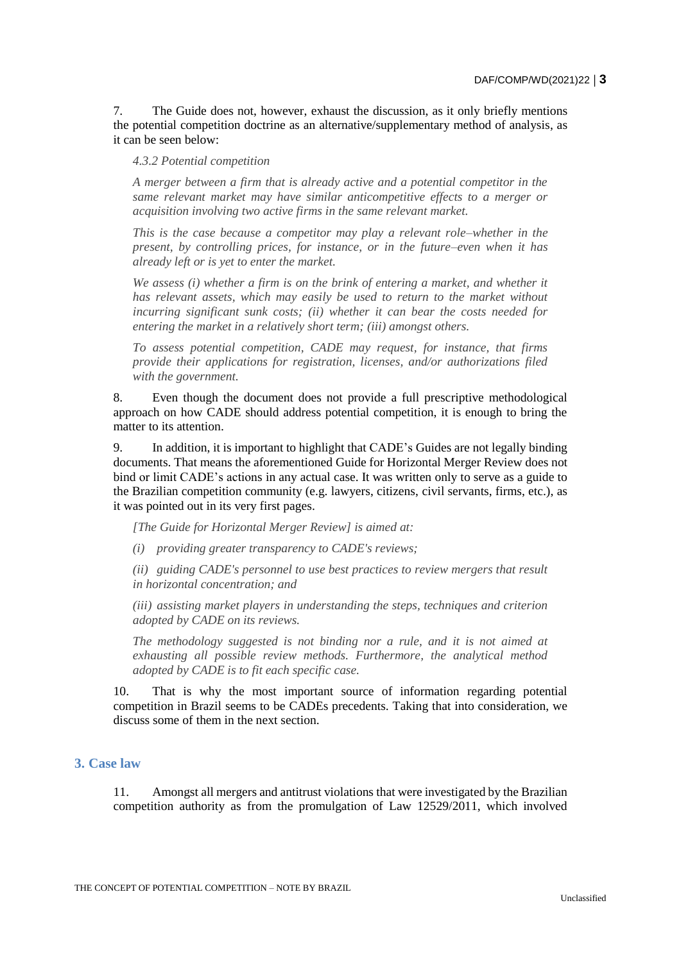7. The Guide does not, however, exhaust the discussion, as it only briefly mentions the potential competition doctrine as an alternative/supplementary method of analysis, as it can be seen below:

*4.3.2 Potential competition*

*A merger between a firm that is already active and a potential competitor in the same relevant market may have similar anticompetitive effects to a merger or acquisition involving two active firms in the same relevant market.*

*This is the case because a competitor may play a relevant role–whether in the present, by controlling prices, for instance, or in the future–even when it has already left or is yet to enter the market.*

*We assess (i) whether a firm is on the brink of entering a market, and whether it has relevant assets, which may easily be used to return to the market without incurring significant sunk costs; (ii) whether it can bear the costs needed for entering the market in a relatively short term; (iii) amongst others.*

*To assess potential competition, CADE may request, for instance, that firms provide their applications for registration, licenses, and/or authorizations filed with the government.*

8. Even though the document does not provide a full prescriptive methodological approach on how CADE should address potential competition, it is enough to bring the matter to its attention.

9. In addition, it is important to highlight that CADE's Guides are not legally binding documents. That means the aforementioned Guide for Horizontal Merger Review does not bind or limit CADE's actions in any actual case. It was written only to serve as a guide to the Brazilian competition community (e.g. lawyers, citizens, civil servants, firms, etc.), as it was pointed out in its very first pages.

*[The Guide for Horizontal Merger Review] is aimed at:*

*(i) providing greater transparency to CADE's reviews;*

*(ii) guiding CADE's personnel to use best practices to review mergers that result in horizontal concentration; and*

*(iii) assisting market players in understanding the steps, techniques and criterion adopted by CADE on its reviews.*

*The methodology suggested is not binding nor a rule, and it is not aimed at exhausting all possible review methods. Furthermore, the analytical method adopted by CADE is to fit each specific case.*

10. That is why the most important source of information regarding potential competition in Brazil seems to be CADEs precedents. Taking that into consideration, we discuss some of them in the next section.

## **3. Case law**

11. Amongst all mergers and antitrust violations that were investigated by the Brazilian competition authority as from the promulgation of Law 12529/2011, which involved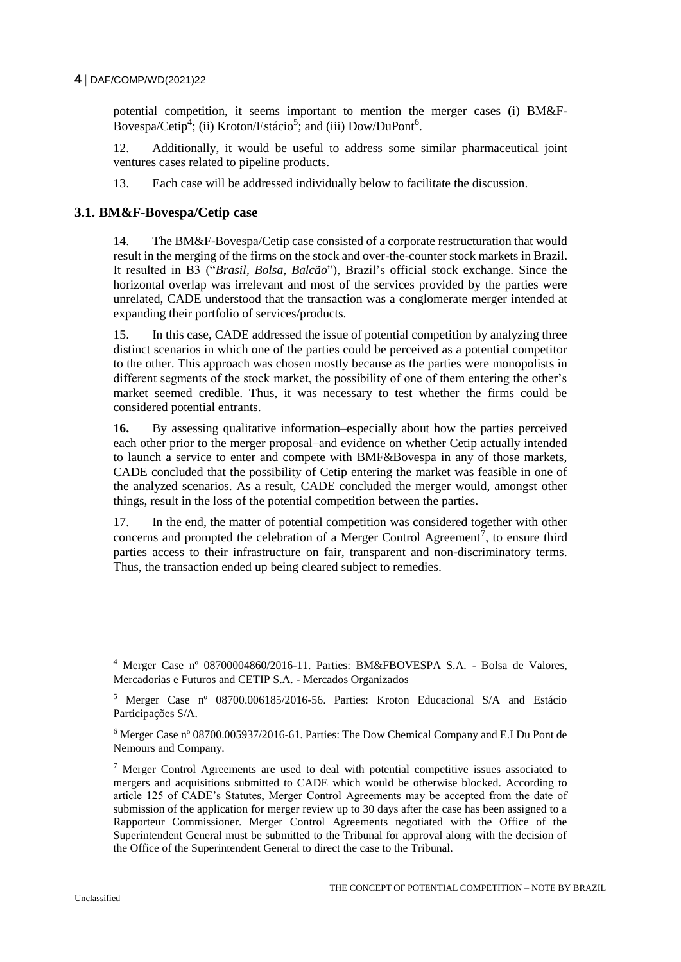#### **4** DAF/COMP/WD(2021)22

potential competition, it seems important to mention the merger cases (i) BM&F-Bovespa/Cetip<sup>4</sup>; (ii) Kroton/Estácio<sup>5</sup>; and (iii) Dow/DuPont<sup>6</sup>.

12. Additionally, it would be useful to address some similar pharmaceutical joint ventures cases related to pipeline products.

13. Each case will be addressed individually below to facilitate the discussion.

## **3.1. BM&F-Bovespa/Cetip case**

14. The BM&F-Bovespa/Cetip case consisted of a corporate restructuration that would result in the merging of the firms on the stock and over-the-counter stock markets in Brazil. It resulted in B3 ("*Brasil, Bolsa, Balcão*"), Brazil's official stock exchange. Since the horizontal overlap was irrelevant and most of the services provided by the parties were unrelated, CADE understood that the transaction was a conglomerate merger intended at expanding their portfolio of services/products.

15. In this case, CADE addressed the issue of potential competition by analyzing three distinct scenarios in which one of the parties could be perceived as a potential competitor to the other. This approach was chosen mostly because as the parties were monopolists in different segments of the stock market, the possibility of one of them entering the other's market seemed credible. Thus, it was necessary to test whether the firms could be considered potential entrants.

**16.** By assessing qualitative information–especially about how the parties perceived each other prior to the merger proposal–and evidence on whether Cetip actually intended to launch a service to enter and compete with BMF&Bovespa in any of those markets, CADE concluded that the possibility of Cetip entering the market was feasible in one of the analyzed scenarios. As a result, CADE concluded the merger would, amongst other things, result in the loss of the potential competition between the parties.

17. In the end, the matter of potential competition was considered together with other concerns and prompted the celebration of a Merger Control Agreement<sup>7</sup>, to ensure third parties access to their infrastructure on fair, transparent and non-discriminatory terms. Thus, the transaction ended up being cleared subject to remedies.

 $\overline{a}$ 

<sup>4</sup> Merger Case nº 08700004860/2016-11. Parties: BM&FBOVESPA S.A. - Bolsa de Valores, Mercadorias e Futuros and CETIP S.A. - Mercados Organizados

<sup>5</sup> Merger Case nº 08700.006185/2016-56. Parties: Kroton Educacional S/A and Estácio Participações S/A.

<sup>6</sup> Merger Case nº 08700.005937/2016-61. Parties: The Dow Chemical Company and E.I Du Pont de Nemours and Company.

 $\frac{7}{1}$  Merger Control Agreements are used to deal with potential competitive issues associated to mergers and acquisitions submitted to CADE which would be otherwise blocked. According to article 125 of CADE's Statutes, Merger Control Agreements may be accepted from the date of submission of the application for merger review up to 30 days after the case has been assigned to a Rapporteur Commissioner. Merger Control Agreements negotiated with the Office of the Superintendent General must be submitted to the Tribunal for approval along with the decision of the Office of the Superintendent General to direct the case to the Tribunal.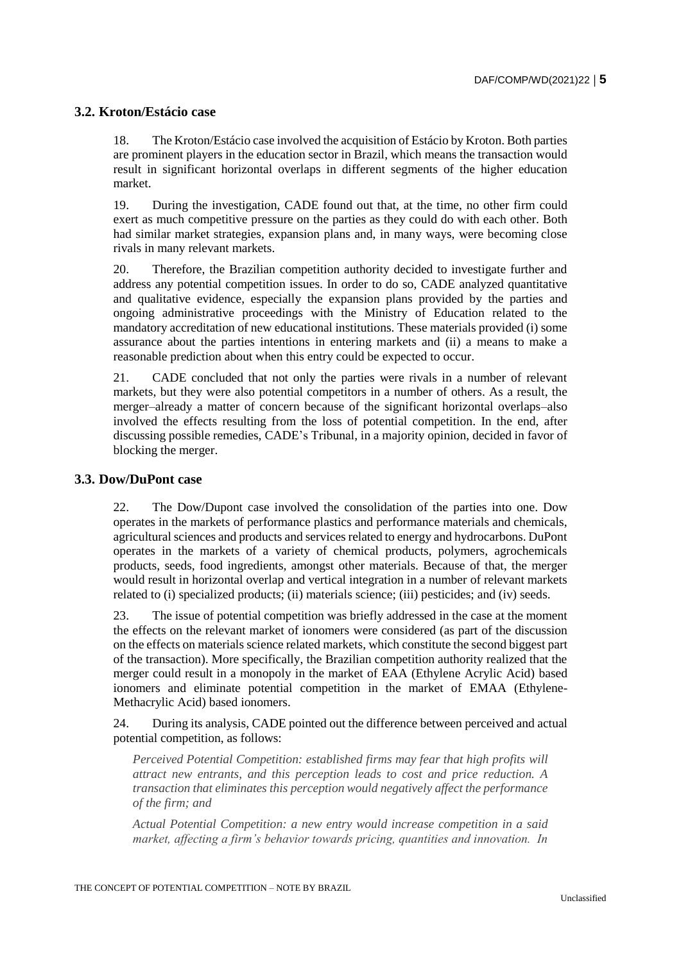## **3.2. Kroton/Estácio case**

18. The Kroton/Estácio case involved the acquisition of Estácio by Kroton. Both parties are prominent players in the education sector in Brazil, which means the transaction would result in significant horizontal overlaps in different segments of the higher education market.

19. During the investigation, CADE found out that, at the time, no other firm could exert as much competitive pressure on the parties as they could do with each other. Both had similar market strategies, expansion plans and, in many ways, were becoming close rivals in many relevant markets.

20. Therefore, the Brazilian competition authority decided to investigate further and address any potential competition issues. In order to do so, CADE analyzed quantitative and qualitative evidence, especially the expansion plans provided by the parties and ongoing administrative proceedings with the Ministry of Education related to the mandatory accreditation of new educational institutions. These materials provided (i) some assurance about the parties intentions in entering markets and (ii) a means to make a reasonable prediction about when this entry could be expected to occur.

21. CADE concluded that not only the parties were rivals in a number of relevant markets, but they were also potential competitors in a number of others. As a result, the merger–already a matter of concern because of the significant horizontal overlaps–also involved the effects resulting from the loss of potential competition. In the end, after discussing possible remedies, CADE's Tribunal, in a majority opinion, decided in favor of blocking the merger.

#### **3.3. Dow/DuPont case**

22. The Dow/Dupont case involved the consolidation of the parties into one. Dow operates in the markets of performance plastics and performance materials and chemicals, agricultural sciences and products and services related to energy and hydrocarbons. DuPont operates in the markets of a variety of chemical products, polymers, agrochemicals products, seeds, food ingredients, amongst other materials. Because of that, the merger would result in horizontal overlap and vertical integration in a number of relevant markets related to (i) specialized products; (ii) materials science; (iii) pesticides; and (iv) seeds.

23. The issue of potential competition was briefly addressed in the case at the moment the effects on the relevant market of ionomers were considered (as part of the discussion on the effects on materials science related markets, which constitute the second biggest part of the transaction). More specifically, the Brazilian competition authority realized that the merger could result in a monopoly in the market of EAA (Ethylene Acrylic Acid) based ionomers and eliminate potential competition in the market of EMAA (Ethylene-Methacrylic Acid) based ionomers.

24. During its analysis, CADE pointed out the difference between perceived and actual potential competition, as follows:

*Perceived Potential Competition: established firms may fear that high profits will attract new entrants, and this perception leads to cost and price reduction. A transaction that eliminates this perception would negatively affect the performance of the firm; and*

*Actual Potential Competition: a new entry would increase competition in a said market, affecting a firm's behavior towards pricing, quantities and innovation. In*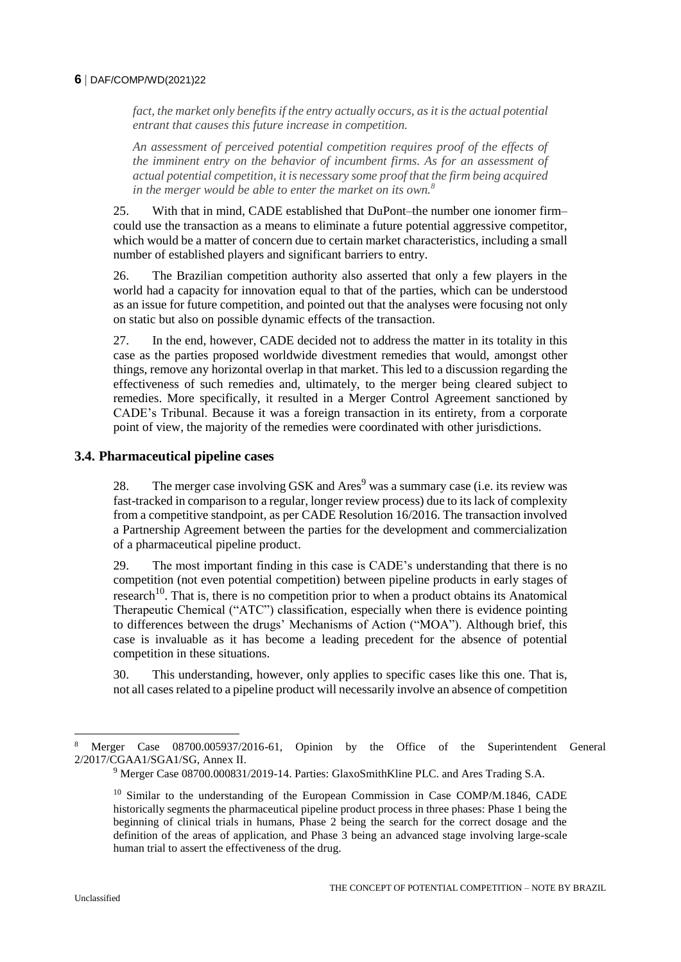#### **6** DAF/COMP/WD(2021)22

*fact, the market only benefits if the entry actually occurs, as it is the actual potential entrant that causes this future increase in competition.*

*An assessment of perceived potential competition requires proof of the effects of the imminent entry on the behavior of incumbent firms. As for an assessment of actual potential competition, it is necessary some proof that the firm being acquired in the merger would be able to enter the market on its own.<sup>8</sup>*

25. With that in mind, CADE established that DuPont–the number one ionomer firm– could use the transaction as a means to eliminate a future potential aggressive competitor, which would be a matter of concern due to certain market characteristics, including a small number of established players and significant barriers to entry.

26. The Brazilian competition authority also asserted that only a few players in the world had a capacity for innovation equal to that of the parties, which can be understood as an issue for future competition, and pointed out that the analyses were focusing not only on static but also on possible dynamic effects of the transaction.

27. In the end, however, CADE decided not to address the matter in its totality in this case as the parties proposed worldwide divestment remedies that would, amongst other things, remove any horizontal overlap in that market. This led to a discussion regarding the effectiveness of such remedies and, ultimately, to the merger being cleared subject to remedies. More specifically, it resulted in a Merger Control Agreement sanctioned by CADE's Tribunal. Because it was a foreign transaction in its entirety, from a corporate point of view, the majority of the remedies were coordinated with other jurisdictions.

### **3.4. Pharmaceutical pipeline cases**

28. The merger case involving GSK and  $Ares<sup>9</sup>$  was a summary case (i.e. its review was fast-tracked in comparison to a regular, longer review process) due to its lack of complexity from a competitive standpoint, as per CADE Resolution 16/2016. The transaction involved a Partnership Agreement between the parties for the development and commercialization of a pharmaceutical pipeline product.

29. The most important finding in this case is CADE's understanding that there is no competition (not even potential competition) between pipeline products in early stages of  $r$ esearch<sup>10</sup>. That is, there is no competition prior to when a product obtains its Anatomical Therapeutic Chemical ("ATC") classification, especially when there is evidence pointing to differences between the drugs' Mechanisms of Action ("MOA"). Although brief, this case is invaluable as it has become a leading precedent for the absence of potential competition in these situations.

30. This understanding, however, only applies to specific cases like this one. That is, not all cases related to a pipeline product will necessarily involve an absence of competition

<sup>8</sup> Merger Case 08700.005937/2016-61, Opinion by the Office of the Superintendent General 2/2017/CGAA1/SGA1/SG, Annex II.

<sup>9</sup> Merger Case 08700.000831/2019-14. Parties: GlaxoSmithKline PLC. and Ares Trading S.A.

<sup>&</sup>lt;sup>10</sup> Similar to the understanding of the European Commission in Case COMP/M.1846, CADE historically segments the pharmaceutical pipeline product process in three phases: Phase 1 being the beginning of clinical trials in humans, Phase 2 being the search for the correct dosage and the definition of the areas of application, and Phase 3 being an advanced stage involving large-scale human trial to assert the effectiveness of the drug.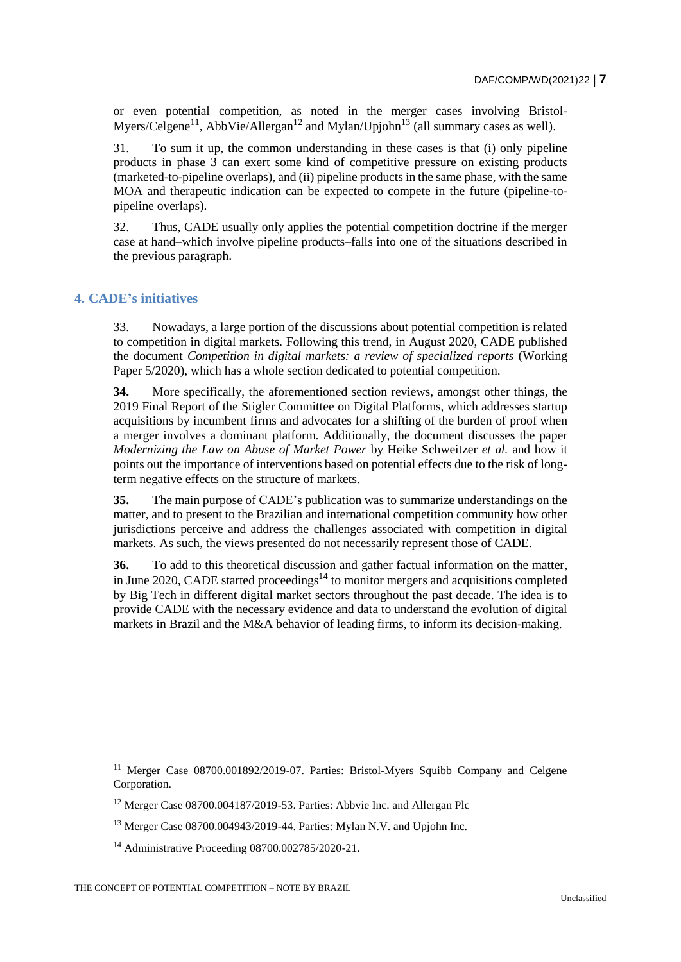or even potential competition, as noted in the merger cases involving Bristol-Myers/Celgene<sup>11</sup>, AbbVie/Allergan<sup>12</sup> and Mylan/Upjohn<sup>13</sup> (all summary cases as well).

31. To sum it up, the common understanding in these cases is that (i) only pipeline products in phase 3 can exert some kind of competitive pressure on existing products (marketed-to-pipeline overlaps), and (ii) pipeline products in the same phase, with the same MOA and therapeutic indication can be expected to compete in the future (pipeline-topipeline overlaps).

32. Thus, CADE usually only applies the potential competition doctrine if the merger case at hand–which involve pipeline products–falls into one of the situations described in the previous paragraph.

### **4. CADE's initiatives**

33. Nowadays, a large portion of the discussions about potential competition is related to competition in digital markets. Following this trend, in August 2020, CADE published the document *Competition in digital markets: a review of specialized reports* (Working Paper  $5/2020$ ), which has a whole section dedicated to potential competition.

**34.** More specifically, the aforementioned section reviews, amongst other things, the 2019 Final Report of the Stigler Committee on Digital Platforms, which addresses startup acquisitions by incumbent firms and advocates for a shifting of the burden of proof when a merger involves a dominant platform. Additionally, the document discusses the paper *Modernizing the Law on Abuse of Market Power* by Heike Schweitzer *et al.* and how it points out the importance of interventions based on potential effects due to the risk of longterm negative effects on the structure of markets.

**35.** The main purpose of CADE's publication was to summarize understandings on the matter, and to present to the Brazilian and international competition community how other jurisdictions perceive and address the challenges associated with competition in digital markets. As such, the views presented do not necessarily represent those of CADE.

**36.** To add to this theoretical discussion and gather factual information on the matter, in June 2020, CADE started proceedings<sup>14</sup> to monitor mergers and acquisitions completed by Big Tech in different digital market sectors throughout the past decade. The idea is to provide CADE with the necessary evidence and data to understand the evolution of digital markets in Brazil and the M&A behavior of leading firms, to inform its decision-making.

<sup>&</sup>lt;sup>11</sup> Merger Case 08700.001892/2019-07. Parties: Bristol-Myers Squibb Company and Celgene Corporation.

<sup>&</sup>lt;sup>12</sup> Merger Case 08700.004187/2019-53. Parties: Abbvie Inc. and Allergan Plc

<sup>13</sup> Merger Case 08700.004943/2019-44. Parties: Mylan N.V. and Upjohn Inc.

<sup>14</sup> Administrative Proceeding 08700.002785/2020-21.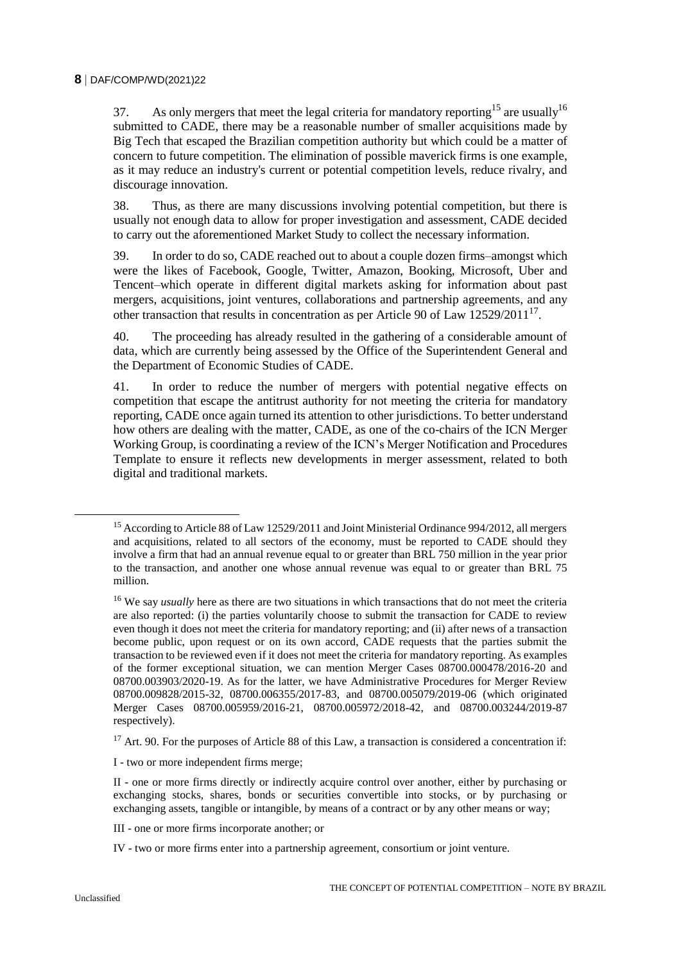37. As only mergers that meet the legal criteria for mandatory reporting<sup>15</sup> are usually<sup>16</sup> submitted to CADE, there may be a reasonable number of smaller acquisitions made by Big Tech that escaped the Brazilian competition authority but which could be a matter of concern to future competition. The elimination of possible maverick firms is one example, as it may reduce an industry's current or potential competition levels, reduce rivalry, and discourage innovation.

38. Thus, as there are many discussions involving potential competition, but there is usually not enough data to allow for proper investigation and assessment, CADE decided to carry out the aforementioned Market Study to collect the necessary information.

39. In order to do so, CADE reached out to about a couple dozen firms–amongst which were the likes of Facebook, Google, Twitter, Amazon, Booking, Microsoft, Uber and Tencent–which operate in different digital markets asking for information about past mergers, acquisitions, joint ventures, collaborations and partnership agreements, and any other transaction that results in concentration as per Article 90 of Law  $12529/2011^{17}$ .

40. The proceeding has already resulted in the gathering of a considerable amount of data, which are currently being assessed by the Office of the Superintendent General and the Department of Economic Studies of CADE.

41. In order to reduce the number of mergers with potential negative effects on competition that escape the antitrust authority for not meeting the criteria for mandatory reporting, CADE once again turned its attention to other jurisdictions. To better understand how others are dealing with the matter, CADE, as one of the co-chairs of the ICN Merger Working Group, is coordinating a review of the ICN's Merger Notification and Procedures Template to ensure it reflects new developments in merger assessment, related to both digital and traditional markets.

 $17$  Art. 90. For the purposes of Article 88 of this Law, a transaction is considered a concentration if:

I - two or more independent firms merge;

II - one or more firms directly or indirectly acquire control over another, either by purchasing or exchanging stocks, shares, bonds or securities convertible into stocks, or by purchasing or exchanging assets, tangible or intangible, by means of a contract or by any other means or way;

III - one or more firms incorporate another; or

IV - two or more firms enter into a partnership agreement, consortium or joint venture.

 $\overline{a}$ 

<sup>&</sup>lt;sup>15</sup> According to Article 88 of Law 12529/2011 and Joint Ministerial Ordinance 994/2012, all mergers and acquisitions, related to all sectors of the economy, must be reported to CADE should they involve a firm that had an annual revenue equal to or greater than BRL 750 million in the year prior to the transaction, and another one whose annual revenue was equal to or greater than BRL 75 million.

<sup>&</sup>lt;sup>16</sup> We say *usually* here as there are two situations in which transactions that do not meet the criteria are also reported: (i) the parties voluntarily choose to submit the transaction for CADE to review even though it does not meet the criteria for mandatory reporting; and (ii) after news of a transaction become public, upon request or on its own accord, CADE requests that the parties submit the transaction to be reviewed even if it does not meet the criteria for mandatory reporting. As examples of the former exceptional situation, we can mention Merger Cases 08700.000478/2016-20 and 08700.003903/2020-19. As for the latter, we have Administrative Procedures for Merger Review 08700.009828/2015-32, 08700.006355/2017-83, and 08700.005079/2019-06 (which originated Merger Cases 08700.005959/2016-21, 08700.005972/2018-42, and 08700.003244/2019-87 respectively).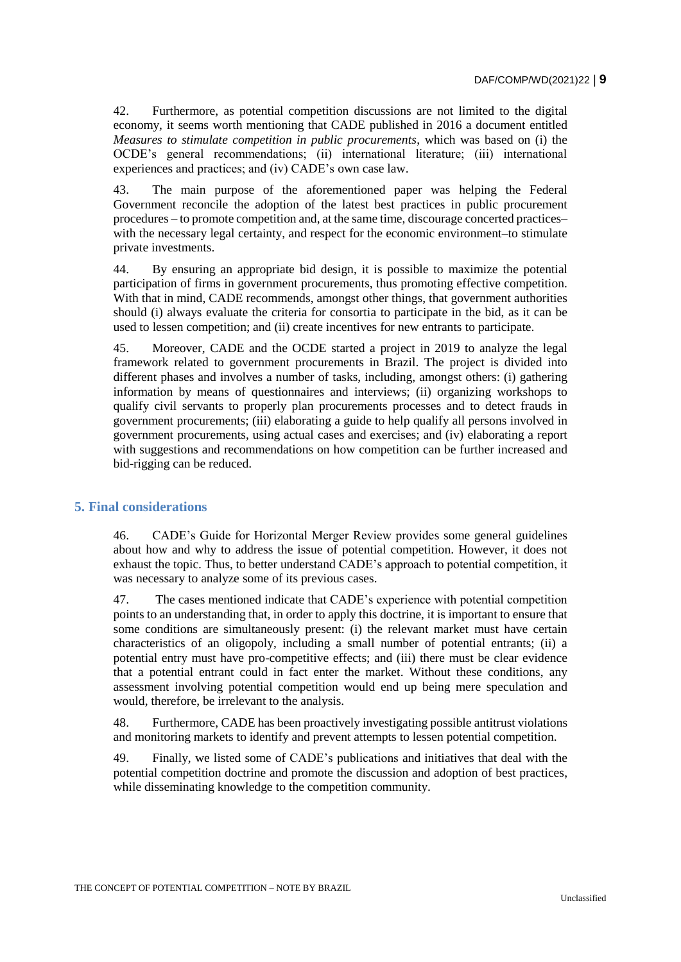42. Furthermore, as potential competition discussions are not limited to the digital economy, it seems worth mentioning that CADE published in 2016 a document entitled *Measures to stimulate competition in public procurements*, which was based on (i) the OCDE's general recommendations; (ii) international literature; (iii) international experiences and practices; and (iv) CADE's own case law.

43. The main purpose of the aforementioned paper was helping the Federal Government reconcile the adoption of the latest best practices in public procurement procedures – to promote competition and, at the same time, discourage concerted practices– with the necessary legal certainty, and respect for the economic environment–to stimulate private investments.

44. By ensuring an appropriate bid design, it is possible to maximize the potential participation of firms in government procurements, thus promoting effective competition. With that in mind, CADE recommends, amongst other things, that government authorities should (i) always evaluate the criteria for consortia to participate in the bid, as it can be used to lessen competition; and (ii) create incentives for new entrants to participate.

45. Moreover, CADE and the OCDE started a project in 2019 to analyze the legal framework related to government procurements in Brazil. The project is divided into different phases and involves a number of tasks, including, amongst others: (i) gathering information by means of questionnaires and interviews; (ii) organizing workshops to qualify civil servants to properly plan procurements processes and to detect frauds in government procurements; (iii) elaborating a guide to help qualify all persons involved in government procurements, using actual cases and exercises; and (iv) elaborating a report with suggestions and recommendations on how competition can be further increased and bid-rigging can be reduced.

### **5. Final considerations**

46. CADE's Guide for Horizontal Merger Review provides some general guidelines about how and why to address the issue of potential competition. However, it does not exhaust the topic. Thus, to better understand CADE's approach to potential competition, it was necessary to analyze some of its previous cases.

47. The cases mentioned indicate that CADE's experience with potential competition points to an understanding that, in order to apply this doctrine, it is important to ensure that some conditions are simultaneously present: (i) the relevant market must have certain characteristics of an oligopoly, including a small number of potential entrants; (ii) a potential entry must have pro-competitive effects; and (iii) there must be clear evidence that a potential entrant could in fact enter the market. Without these conditions, any assessment involving potential competition would end up being mere speculation and would, therefore, be irrelevant to the analysis.

48. Furthermore, CADE has been proactively investigating possible antitrust violations and monitoring markets to identify and prevent attempts to lessen potential competition.

49. Finally, we listed some of CADE's publications and initiatives that deal with the potential competition doctrine and promote the discussion and adoption of best practices, while disseminating knowledge to the competition community.